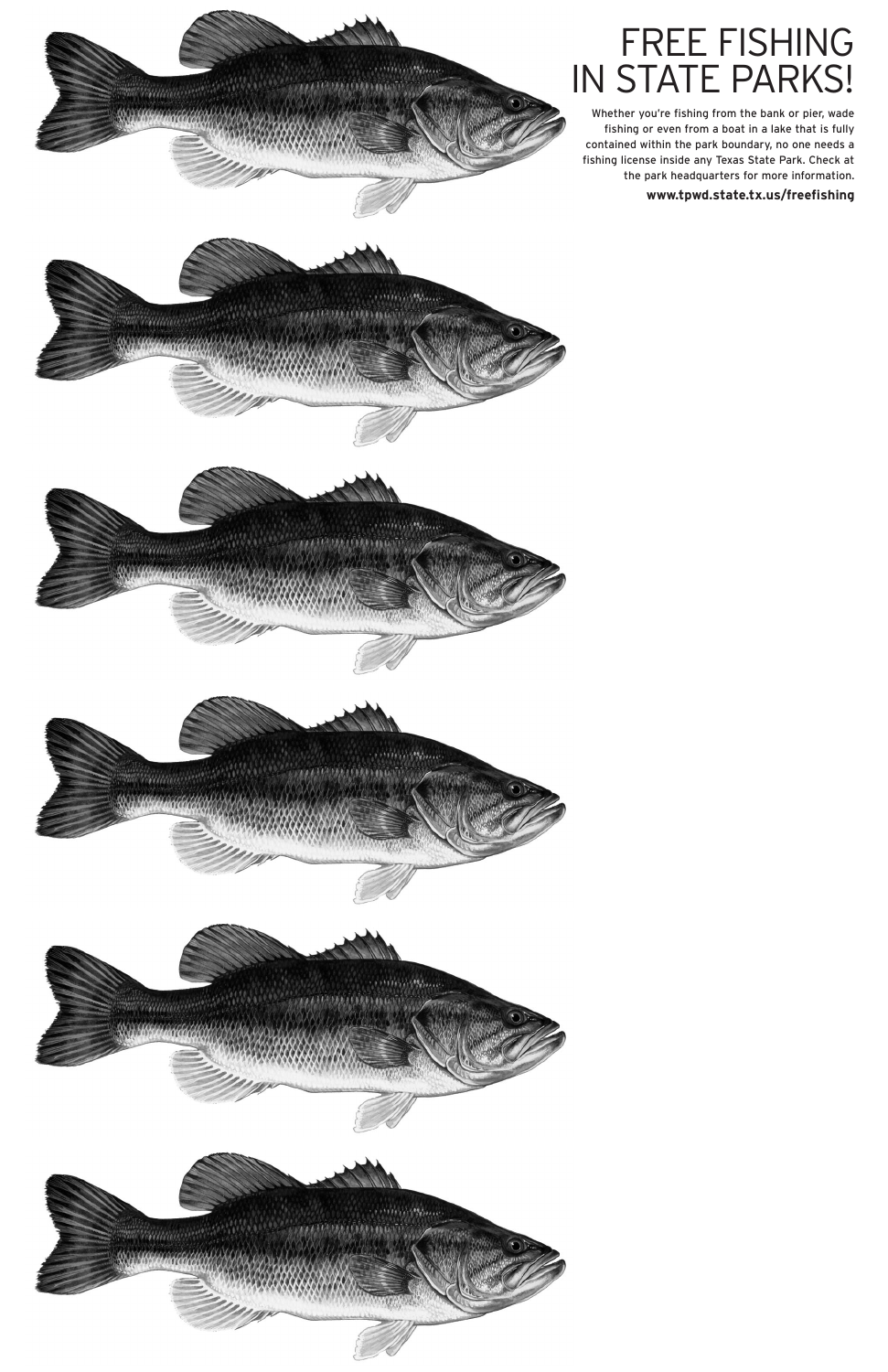

## FREE FISHING IN STATE PARKS!

Whether you're fishing from the bank or pier, wade fishing or even from a boat in a lake that is fully contained within the park boundary, no one needs a fishing license inside any Texas State Park. Check at the park headquarters for more information.

**www.tpwd.state.tx.us/freefishing**